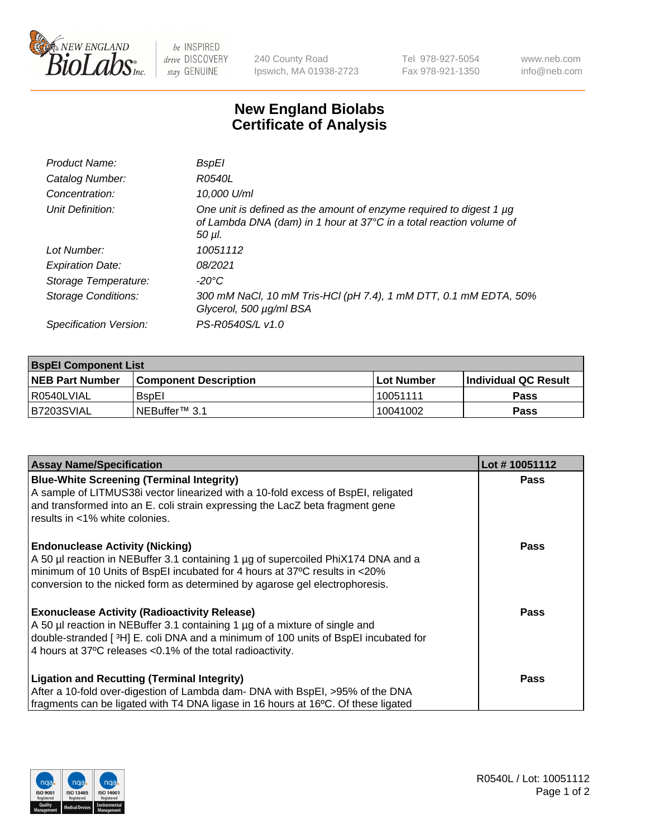

 $be$  INSPIRED drive DISCOVERY stay GENUINE

240 County Road Ipswich, MA 01938-2723 Tel 978-927-5054 Fax 978-921-1350 www.neb.com info@neb.com

## **New England Biolabs Certificate of Analysis**

| Product Name:              | BspEl                                                                                                                                                     |
|----------------------------|-----------------------------------------------------------------------------------------------------------------------------------------------------------|
| Catalog Number:            | R0540L                                                                                                                                                    |
| Concentration:             | 10,000 U/ml                                                                                                                                               |
| Unit Definition:           | One unit is defined as the amount of enzyme required to digest 1 $\mu$ g<br>of Lambda DNA (dam) in 1 hour at 37°C in a total reaction volume of<br>50 µl. |
| Lot Number:                | 10051112                                                                                                                                                  |
| <b>Expiration Date:</b>    | 08/2021                                                                                                                                                   |
| Storage Temperature:       | $-20^{\circ}$ C                                                                                                                                           |
| <b>Storage Conditions:</b> | 300 mM NaCl, 10 mM Tris-HCl (pH 7.4), 1 mM DTT, 0.1 mM EDTA, 50%<br>Glycerol, 500 µg/ml BSA                                                               |
| Specification Version:     | PS-R0540S/L v1.0                                                                                                                                          |
|                            |                                                                                                                                                           |

| <b>BspEl Component List</b> |                              |            |                             |  |
|-----------------------------|------------------------------|------------|-----------------------------|--|
| <b>NEB Part Number</b>      | <b>Component Description</b> | Lot Number | <b>Individual QC Result</b> |  |
| I R0540LVIAL                | <b>B</b> sp <sub>El</sub>    | 10051111   | <b>Pass</b>                 |  |
| IB7203SVIAL                 | l NEBuffer™ 3.1              | 10041002   | <b>Pass</b>                 |  |

| <b>Assay Name/Specification</b>                                                    | Lot #10051112 |
|------------------------------------------------------------------------------------|---------------|
| <b>Blue-White Screening (Terminal Integrity)</b>                                   | <b>Pass</b>   |
| A sample of LITMUS38i vector linearized with a 10-fold excess of BspEI, religated  |               |
| and transformed into an E. coli strain expressing the LacZ beta fragment gene      |               |
| results in <1% white colonies.                                                     |               |
| <b>Endonuclease Activity (Nicking)</b>                                             | <b>Pass</b>   |
| A 50 µl reaction in NEBuffer 3.1 containing 1 µg of supercoiled PhiX174 DNA and a  |               |
| minimum of 10 Units of BspEI incubated for 4 hours at 37°C results in <20%         |               |
| conversion to the nicked form as determined by agarose gel electrophoresis.        |               |
| <b>Exonuclease Activity (Radioactivity Release)</b>                                | <b>Pass</b>   |
| A 50 µl reaction in NEBuffer 3.1 containing 1 µg of a mixture of single and        |               |
| double-stranded [3H] E. coli DNA and a minimum of 100 units of BspEI incubated for |               |
| 4 hours at 37°C releases < 0.1% of the total radioactivity.                        |               |
| <b>Ligation and Recutting (Terminal Integrity)</b>                                 | <b>Pass</b>   |
| After a 10-fold over-digestion of Lambda dam- DNA with BspEI, >95% of the DNA      |               |
| fragments can be ligated with T4 DNA ligase in 16 hours at 16°C. Of these ligated  |               |